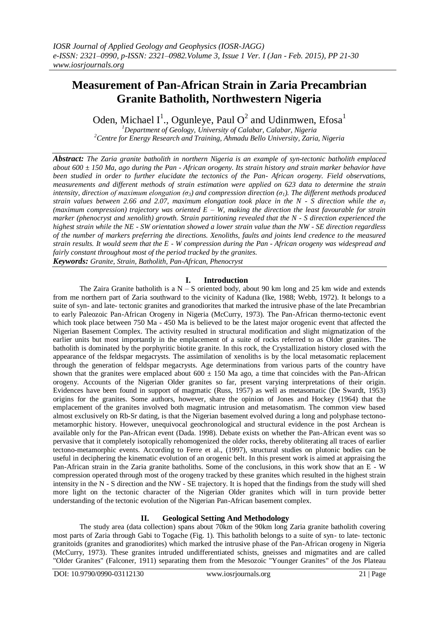# **Measurement of Pan-African Strain in Zaria Precambrian Granite Batholith, Northwestern Nigeria**

Oden, Michael I<sup>1</sup>., Ogunleye, Paul O<sup>2</sup> and Udinmwen, Efosa<sup>1</sup>

*<sup>1</sup>Department of Geology, University of Calabar, Calabar, Nigeria <sup>2</sup>Centre for Energy Research and Training, Ahmadu Bello University, Zaria, Nigeria*

*Abstract: The Zaria granite batholith in northern Nigeria is an example of syn-tectonic batholith emplaced about 600 ± 150 Ma, ago during the Pan - African orogeny. Its strain history and strain marker behavior have been studied in order to further elucidate the tectonics of the Pan- African orogeny. Field observations, measurements and different methods of strain estimation were applied on 623 data to determine the strain intensity, direction of maximum elongation (σ3) and compression direction (σ1). The different methods produced strain values between 2.66 and 2.07, maximum elongation took place in the N - S direction while the σ<sup>1</sup> (maximum compression) trajectory was oriented E – W, making the direction the least favourable for strain marker (phenocryst and xenolith) growth. Strain partitioning revealed that the N - S direction experienced the highest strain while the NE - SW orientation showed a lower strain value than the NW - SE direction regardless of the number of markers preferring the directions. Xenoliths, faults and joints lend credence to the measured strain results. It would seem that the E - W compression during the Pan - African orogeny was widespread and fairly constant throughout most of the period tracked by the granites.*

*Keywords: Granite, Strain, Batholith, Pan-African, Phenocryst*

### **I. Introduction**

The Zaira Granite batholith is a  $N - S$  oriented body, about 90 km long and 25 km wide and extends from me northern part of Zaria southward to the vicinity of Kaduna (Ike, 1988; Webb, 1972). It belongs to a suite of syn- and late- tectonic granites and granodiorites that marked the intrusive phase of the late Precambrian to early Paleozoic Pan-African Orogeny in Nigeria (McCurry, 1973). The Pan-African thermo-tectonic event which took place between 750 Ma - 450 Ma is believed to be the latest major orogenic event that affected the Nigerian Basement Complex. The activity resulted in structural modification and slight migmatization of the earlier units but most importantly in the emplacement of a suite of rocks referred to as Older granites. The batholith is dominated by the porphyritic biotite granite. In this rock, the Crystallization history closed with the appearance of the feldspar megacrysts. The assimilation of xenoliths is by the local metasomatic replacement through the generation of feldspar megacrysts. Age determinations from various parts of the country have shown that the granites were emplaced about  $600 \pm 150$  Ma ago, a time that coincides with the Pan-African orogeny. Accounts of the Nigerian Older granites so far, present varying interpretations of their origin. Evidences have been found in support of magmatic (Russ, 1957) as well as metasomatic (De Swardt, 1953) origins for the granites. Some authors, however, share the opinion of Jones and Hockey (1964) that the emplacement of the granites involved both magmatic intrusion and metasomatism. The common view based almost exclusively on Rb-Sr dating, is that the Nigerian basement evolved during a long and polyphase tectonometamorphic history. However, unequivocal geochronological and structural evidence in the post Archean is available only for the Pan-African event (Dada. 1998). Debate exists on whether the Pan-African event was so pervasive that it completely isotopically rehomogenized the older rocks, thereby obliterating all traces of earlier tectono-metamorphic events. According to Ferre et al., (1997), structural studies on plutonic bodies can be useful in deciphering the kinematic evolution of an orogenic belt. In this present work is aimed at appraising the Pan-African strain in the Zaria granite batholiths. Some of the conclusions, in this work show that an E - W compression operated through most of the orogeny tracked by these granites which resulted in the highest strain intensity in the N - S direction and the NW - SE trajectory. It is hoped that the findings from the study will shed more light on the tectonic character of the Nigerian Older granites which will in turn provide better understanding of the tectonic evolution of the Nigerian Pan-African basement complex.

### **II. Geological Setting And Methodology**

The study area (data collection) spans about 70km of the 90km long Zaria granite batholith covering most parts of Zaria through Gabi to Togache (Fig. 1). This batholith belongs to a suite of syn- to late- tectonic granitoids (granites and granodiorites) which marked the intrusive phase of the Pan-African orogeny in Nigeria (McCurry, 1973). These granites intruded undifferentiated schists, gneisses and migmatites and are called "Older Granites" (Falconer, 1911) separating them from the Mesozoic "Younger Granites" of the Jos Plateau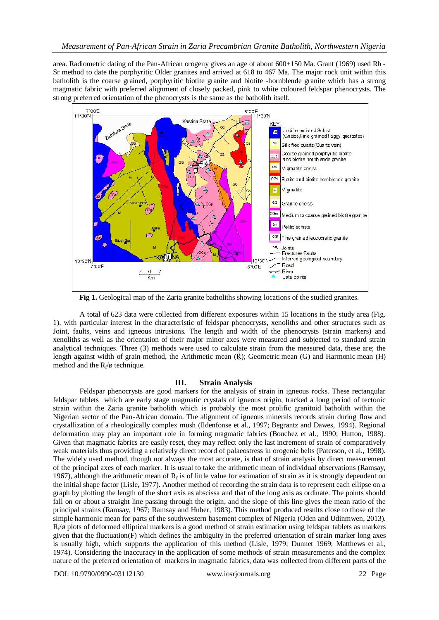area. Radiometric dating of the Pan-African orogeny gives an age of about  $600\pm150$  Ma. Grant (1969) used Rb -Sr method to date the porphyritic Older granites and arrived at 618 to 467 Ma. The major rock unit within this batholith is the coarse grained, porphyritic biotite granite and biotite -hornblende granite which has a strong magmatic fabric with preferred alignment of closely packed, pink to white coloured feldspar phenocrysts. The strong preferred orientation of the phenocrysts is the same as the batholith itself.



**Fig 1.** Geological map of the Zaria granite batholiths showing locations of the studied granites.

A total of 623 data were collected from different exposures within 15 locations in the study area (Fig. 1), with particular interest in the characteristic of feldspar phenocrysts, xenoliths and other structures such as Joint, faults, veins and igneous intrusions. The length and width of the phenocrysts (strain markers) and xenoliths as well as the orientation of their major minor axes were measured and subjected to standard strain analytical techniques. Three (3) methods were used to calculate strain from the measured data, these are; the length against width of grain method, the Arithmetic mean ( $\bar{R}$ ); Geometric mean (G) and Harmonic mean (H) method and the  $R_f/\phi$  technique.

# **III. Strain Analysis**

Feldspar phenocrysts are good markers for the analysis of strain in igneous rocks. These rectangular feldspar tablets which are early stage magmatic crystals of igneous origin, tracked a long period of tectonic strain within the Zaria granite batholith which is probably the most prolific granitoid batholith within the Nigerian sector of the Pan-African domain. The alignment of igneous minerals records strain during flow and crystallization of a rheologically complex mush (Ildenfonse et al., 1997; Begrantz and Dawes, 1994). Regional deformation may play an important role in forming magmatic fabrics (Bouchez et al., 1990; Hutton, 1988). Given that magmatic fabrics are easily reset, they may reflect only the last increment of strain of comparatively weak materials thus providing a relatively direct record of palaeostress in orogenic belts (Paterson, et al., 1998). The widely used method, though not always the most accurate, is that of strain analysis by direct measurement of the principal axes of each marker. It is usual to take the arithmetic mean of individual observations (Ramsay, 1967), although the arithmetic mean of  $R_f$  is of little value for estimation of strain as it is strongly dependent on the initial shape factor (Lisle, 1977). Another method of recording the strain data is to represent each ellipse on a graph by plotting the length of the short axis as abscissa and that of the long axis as ordinate. The points should fall on or about a straight line passing through the origin, and the slope of this line gives the mean ratio of the principal strains (Ramsay, 1967; Ramsay and Huber, 1983). This method produced results close to those of the simple harmonic mean for parts of the southwestern basement complex of Nigeria (Oden and Udinmwen, 2013).  $R_f/\emptyset$  plots of deformed elliptical markers is a good method of strain estimation using feldspar tablets as markers given that the fluctuation(F) which defines the ambiguity in the preferred orientation of strain marker long axes is usually high, which supports the application of this method (Lisle, 1979; Dunnet 1969; Matthews et al., 1974). Considering the inaccuracy in the application of some methods of strain measurements and the complex nature of the preferred orientation of markers in magmatic fabrics, data was collected from different parts of the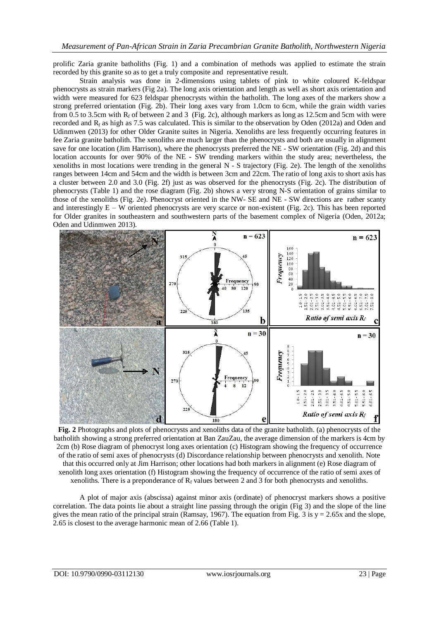prolific Zaria granite batholiths (Fig. 1) and a combination of methods was applied to estimate the strain recorded by this granite so as to get a truly composite and representative result.

Strain analysis was done in 2-dimensions using tablets of pink to white coloured K-feldspar phenocrysts as strain markers (Fig 2a). The long axis orientation and length as well as short axis orientation and width were measured for 623 feldspar phenocrysts within the batholith. The long axes of the markers show a strong preferred orientation (Fig. 2b). Their long axes vary from 1.0cm to 6cm, while the grain width varies from 0.5 to 3.5cm with  $R_f$  of between 2 and 3 (Fig. 2c), although markers as long as 12.5cm and 5cm with were recorded and  $R_f$  as high as 7.5 was calculated. This is similar to the observation by Oden (2012a) and Oden and Udinmwen (2013) for other Older Granite suites in Nigeria. Xenoliths are less frequently occurring features in fee Zaria granite batholith. The xenoliths are much larger than the phenocrysts and both are usually in alignment save for one location (Jim Harrison), where the phenocrysts preferred the NE - SW orientation (Fig. 2d) and this location accounts for over 90% of the NE - SW trending markers within the study area; nevertheless, the xenoliths in most locations were trending in the general N - S trajectory (Fig. 2e). The length of the xenoliths ranges between 14cm and 54cm and the width is between 3cm and 22cm. The ratio of long axis to short axis has a cluster between 2.0 and 3.0 (Fig. 2f) just as was observed for the phenocrysts (Fig. 2c). The distribution of phenocrysts (Table 1) and the rose diagram (Fig. 2b) shows a very strong N-S orientation of grains similar to those of the xenoliths (Fig. 2e). Phenocryst oriented in the NW- SE and NE - SW directions are rather scanty and interestingly E – W oriented phenocrysts are very scarce or non-existent (Fig. 2c). This has been reported for Older granites in southeastern and southwestern parts of the basement complex of Nigeria (Oden, 2012a; Oden and Udinmwen 2013).



**Fig. 2** Photographs and plots of phenocrysts and xenoliths data of the granite batholith. (a) phenocrysts of the batholith showing a strong preferred orientation at Ban ZauZau, the average dimension of the markers is 4cm by 2cm (b) Rose diagram of phenocryst long axes orientation (c) Histogram showing the frequency of occurrence of the ratio of semi axes of phenocrysts (d) Discordance relationship between phenocrysts and xenolith. Note that this occurred only at Jim Harrison; other locations had both markers in alignment (e) Rose diagram of xenolith long axes orientation (f) Histogram showing the frequency of occurrence of the ratio of semi axes of xenoliths. There is a preponderance of  $R_f$  values between 2 and 3 for both phenocrysts and xenoliths.

A plot of major axis (abscissa) against minor axis (ordinate) of phenocryst markers shows a positive correlation. The data points lie about a straight line passing through the origin (Fig 3) and the slope of the line gives the mean ratio of the principal strain (Ramsay, 1967). The equation from Fig. 3 is  $y = 2.65x$  and the slope, 2.65 is closest to the average harmonic mean of 2.66 (Table 1).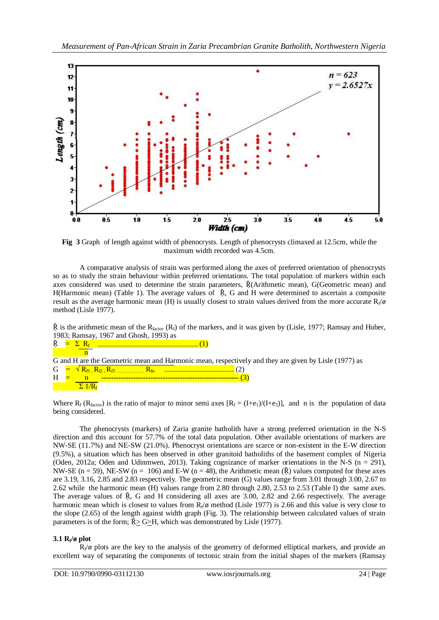

**Fig 3** Graph of length against width of phenocrysts. Length of phenocrysts climaxed at 12.5cm, while the maximum width recorded was 4.5cm.

A comparative analysis of strain was performed along the axes of preferred orientation of phenocrysts so as to study the strain behaviour within preferred orientations. The total population of markers within each axes considered was used to determine the strain parameters, Ṝ(Arithmetic mean), G(Geometric mean) and H(Harmonic mean) (Table 1). The average values of  $\bar{R}$ , G and H were determined to ascertain a composite result as the average harmonic mean (H) is usually closest to strain values derived from the more accurate  $R_f/\phi$ method (Lisle 1977).

 $\bar{R}$  is the arithmetic mean of the R<sub>factor</sub> (R<sub>f</sub>) of the markers, and it was given by (Lisle, 1977; Ramsay and Huber, 1983; Ramsay, 1967 and Ghosh, 1993) as

| $\bar{R}$ $=$ $\bar{R}$                                                                              |  |                                                       |  |  |  |  |  |  |
|------------------------------------------------------------------------------------------------------|--|-------------------------------------------------------|--|--|--|--|--|--|
|                                                                                                      |  |                                                       |  |  |  |  |  |  |
| G and H are the Geometric mean and Harmonic mean, respectively and they are given by Lisle (1977) as |  |                                                       |  |  |  |  |  |  |
|                                                                                                      |  | $G = \sqrt{R_{f1} R_{f2} R_{f3} \dots R_{fn}} R_{fn}$ |  |  |  |  |  |  |
| H                                                                                                    |  |                                                       |  |  |  |  |  |  |
|                                                                                                      |  |                                                       |  |  |  |  |  |  |

Where  $R_f$  ( $R_{factor}$ ) is the ratio of major to minor semi axes  $[R_f = (I+e_1)/(I+e_3)]$ , and n is the population of data being considered.

The phenocrysts (markers) of Zaria granite batholith have a strong preferred orientation in the N-S direction and this account for 57.7% of the total data population. Other available orientations of markers are NW-SE (11.7%) and NE-SW (21.0%). Phenocryst orientations are scarce or non-existent in the E-W direction (9.5%), a situation which has been observed in other granitoid batholiths of the basement complex of Nigeria (Oden, 2012a; Oden and Udinmwen, 2013). Taking cognizance of marker orientations in the N-S (n = 291), NW-SE (n = 59), NE-SW (n = 106) and E-W (n = 48), the Arithmetic mean  $(\bar{R})$  values computed for these axes are 3.19, 3.16, 2.85 and 2.83 respectively. The geometric mean (G) values range from 3.01 through 3.00, 2.67 to 2.62 while the harmonic mean (H) values range from 2.80 through 2.80, 2.53 to 2.53 (Table I) the same axes. The average values of  $\bar{R}$ , G and H considering all axes are 3.00, 2.82 and 2.66 respectively. The average harmonic mean which is closest to values from  $R_f/\phi$  method (Lisle 1977) is 2.66 and this value is very close to the slope (2.65) of the length against width graph (Fig. 3). The relationship between calculated values of strain parameters is of the form;  $\bar{R}$  G>H, which was demonstrated by Lisle (1977).

# **3.1 R<sup>f</sup> /ø plot**

 $R_f/\emptyset$  plots are the key to the analysis of the geometry of deformed elliptical markers, and provide an excellent way of separating the components of tectonic strain from the initial shapes of the markers (Ramsay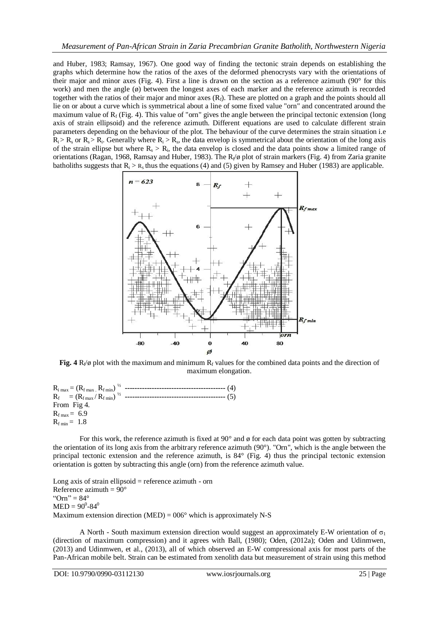and Huber, 1983; Ramsay, 1967). One good way of finding the tectonic strain depends on establishing the graphs which determine how the ratios of the axes of the deformed phenocrysts vary with the orientations of their major and minor axes (Fig. 4). First a line is drawn on the section as a reference azimuth (90° for this work) and men the angle (ø) between the longest axes of each marker and the reference azimuth is recorded together with the ratios of their major and minor axes  $(R_f)$ . These are plotted on a graph and the points should all lie on or about a curve which is symmetrical about a line of some fixed value "orn" and concentrated around the maximum value of  $R_f$  (Fig. 4). This value of "orn" gives the angle between the principal tectonic extension (long axis of strain ellipsoid) and the reference azimuth. Different equations are used to calculate different strain parameters depending on the behaviour of the plot. The behaviour of the curve determines the strain situation i.e  $R_i > R_s$  or  $R_s > R_i$ . Generally where  $R_i > R_s$ , the data envelop is symmetrical about the orientation of the long axis of the strain ellipse but where  $R_s > R_i$ , the data envelop is closed and the data points show a limited range of orientations (Ragan, 1968, Ramsay and Huber, 1983). The R<sub>f</sub>/ø plot of strain markers (Fig. 4) from Zaria granite batholiths suggests that  $R_i > R_s$  thus the equations (4) and (5) given by Ramsey and Huber (1983) are applicable.



Fig.  $4 \text{ R}_f/\emptyset$  plot with the maximum and minimum  $R_f$  values for the combined data points and the direction of maximum elongation.

Ri max = (Rf max . R<sup>f</sup> min) <sup>½</sup> **-----------------------------------------** (4) Rf = (Rf max / Rf min) <sup>½</sup> **-----------------------------------------** (5) From Fig 4.  $R_{f max} = 6.9$  $R_{f \text{min}} = 1.8$ 

For this work, the reference azimuth is fixed at 90 $^{\circ}$  and  $\phi$  for each data point was gotten by subtracting the orientation of its long axis from the arbitrary reference azimuth (90°). "Orn", which is the angle between the principal tectonic extension and the reference azimuth, is 84° (Fig. 4) thus the principal tectonic extension orientation is gotten by subtracting this angle (orn) from the reference azimuth value.

Long axis of strain ellipsoid  $=$  reference azimuth - orn Reference azimuth =  $90^\circ$ " $Orn" = 84^\circ$  $MED = 90^0 - 84^0$ Maximum extension direction (MED) =  $006^\circ$  which is approximately N-S

A North - South maximum extension direction would suggest an approximately E-W orientation of  $\sigma_1$ (direction of maximum compression) and it agrees with Ball, (1980); Oden, (2012a); Oden and Udinmwen, (2013) and Udinmwen, et al., (2013), all of which observed an E-W compressional axis for most parts of the Pan-African mobile belt. Strain can be estimated from xenolith data but measurement of strain using this method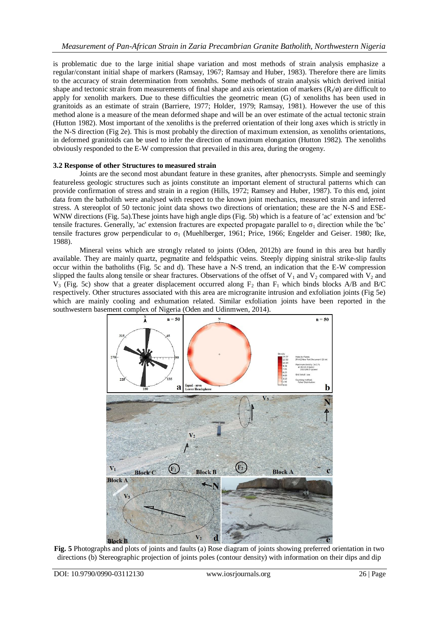is problematic due to the large initial shape variation and most methods of strain analysis emphasize a regular/constant initial shape of markers (Ramsay, 1967; Ramsay and Huber, 1983). Therefore there are limits to the accuracy of strain determination from xenohths. Some methods of strain analysis which derived initial shape and tectonic strain from measurements of final shape and axis orientation of markers ( $R_f/\emptyset$ ) are difficult to apply for xenolith markers. Due to these difficulties the geometric mean (G) of xenoliths has been used in granitoids as an estimate of strain (Barriere, 1977; Holder, 1979; Ramsay, 1981). However the use of this method alone is a measure of the mean deformed shape and will be an over estimate of the actual tectonic strain (Hutton 1982). Most important of the xenoliths is the preferred orientation of their long axes which is strictly in the N-S direction (Fig 2e). This is most probably the direction of maximum extension, as xenoliths orientations, in deformed granitoids can be used to infer the direction of maximum elongation (Hutton 1982). The xenoliths obviously responded to the E-W compression that prevailed in this area, during the orogeny.

### **3.2 Response of other Structures to measured strain**

Joints are the second most abundant feature in these granites, after phenocrysts. Simple and seemingly featureless geologic structures such as joints constitute an important element of structural patterns which can provide confirmation of stress and strain in a region (Hills, 1972; Ramsey and Huber, 1987). To this end, joint data from the batholith were analysed with respect to the known joint mechanics, measured strain and inferred stress. A stereoplot of 50 tectonic joint data shows two directions of orientation; these are the N-S and ESE-WNW directions (Fig. 5a).These joints have high angle dips (Fig. 5b) which is a feature of 'ac' extension and 'bc' tensile fractures. Generally, 'ac' extension fractures are expected propagate parallel to  $\sigma_1$  direction while the 'bc' tensile fractures grow perpendicular to  $\sigma_1$  (Muehlberger, 1961; Price, 1966; Engelder and Geiser. 1980; Ike, 1988).

Mineral veins which are strongly related to joints (Oden, 2012b) are found in this area but hardly available. They are mainly quartz, pegmatite and feldspathic veins. Steeply dipping sinistral strike-slip faults occur within the batholiths (Fig. 5c and d). These have a N-S trend, an indication that the E-W compression slipped the faults along tensile or shear fractures. Observations of the offset of  $V_1$  and  $V_2$  compared with  $V_2$  and  $V_3$  (Fig. 5c) show that a greater displacement occurred along  $F_2$  than  $F_1$  which binds blocks A/B and B/C respectively. Other structures associated with this area are microgranite intrusion and exfoliation joints (Fig 5e) which are mainly cooling and exhumation related. Similar exfoliation joints have been reported in the southwestern basement complex of Nigeria (Oden and Udinmwen, 2014).



**Fig. 5** Photographs and plots of joints and faults (a) Rose diagram of joints showing preferred orientation in two directions (b) Stereographic projection of joints poles (contour density) with information on their dips and dip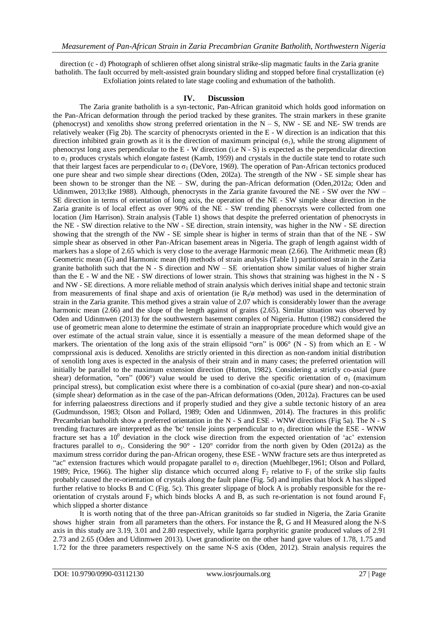direction (c - d) Photograph of schlieren offset along sinistral strike-slip magmatic faults in the Zaria granite batholith. The fault occurred by melt-assisted grain boundary sliding and stopped before final crystallization (e) Exfoliation joints related to late stage cooling and exhumation of the batholith.

#### **IV. Discussion**

The Zaria granite batholith is a syn-tectonic, Pan-African granitoid which holds good information on the Pan-African deformation through the period tracked by these granites. The strain markers in these granite (phenocryst) and xenoliths show strong preferred orientation in the  $N - S$ , NW - SE and NE- SW trends are relatively weaker (Fig 2b). The scarcity of phenocrysts oriented in the E - W direction is an indication that this direction inhibited grain growth as it is the direction of maximum principal  $(\sigma_1)$ , while the strong alignment of phenocryst long axes perpendicular to the E - W direction (i.e N - S) is expected as the perpendicular direction to  $\sigma_1$  produces crystals which elongate fastest (Kamb, 1959) and crystals in the ductile state tend to rotate such that their largest faces are perpendicular to  $\sigma_1$  (DeVore, 1969). The operation of Pan-African tectonics produced one pure shear and two simple shear directions (Oden, 20l2a). The strength of the NW - SE simple shear has been shown to be stronger than the NE – SW, during the pan-African deformation (Oden,2012a; Oden and Udinmwen, 2013;Ike 1988). Although, phenocrysts in the Zaria granite favoured the NE - SW over the NW – SE direction in terms of orientation of long axis, the operation of the NE - SW simple shear direction in the Zaria granite is of local effect as over 90% of the NE - SW trending phenocrsyts were collected from one location (Jim Harrison). Strain analysis (Table 1) shows that despite the preferred orientation of phenocrysts in the NE - SW direction relative to the NW - SE direction, strain intensity, was higher in the NW - SE direction showing that the strength of the NW - SE simple shear is higher in terms of strain than that of the NE - SW simple shear as observed in other Pan-African basement areas in Nigeria. The graph of length against width of markers has a slope of 2.65 which is very close to the average Harmonic mean  $(2.66)$ . The Arithmetic mean  $(\bar{R})$ Geometric mean (G) and Harmonic mean (H) methods of strain analysis (Table 1) partitioned strain in the Zaria granite batholith such that the N - S direction and  $NW - SE$  orientation show similar values of higher strain than the E - W and the NE - SW directions of lower strain. This shows that straining was highest in the N - S and NW - SE directions. A more reliable method of strain analysis which derives initial shape and tectonic strain from measurements of final shape and axis of orientation (ie  $R_f/\phi$  method) was used in the determination of strain in the Zaria granite. This method gives a strain value of 2.07 which is considerably lower than the average harmonic mean (2.66) and the slope of the length against of grains (2.65). Similar situation was observed by Oden and Udinmwen (2013) for the southwestern basement complex of Nigeria. Hutton (1982) considered the use of geometric mean alone to determine the estimate of strain an inappropriate procedure which would give an over estimate of the actual strain value, since it is essentially a measure of the mean deformed shape of the markers. The orientation of the long axis of the strain ellipsoid "orn" is  $006^{\circ}$  (N - S) from which an E - W comprssional axis is deduced. Xenoliths are strictly oriented in this direction as non-random initial distribution of xenolith long axes is expected in the analysis of their strain and in many cases; the preferred orientation will initially be parallel to the maximum extension direction (Hutton, 1982). Considering a strictly co-axial (pure shear) deformation, "orn" (006°) value would be used to derive the specific orientation of  $\sigma_1$  (maximum principal stress), but complication exist where there is a combination of co-axial (pure shear) and non-co-axial (simple shear) deformation as in the case of the pan-African deformations (Oden, 2012a). Fractures can be used for inferring palaeostress directions and if properly studied and they give a subtle tectonic history of an area (Gudmundsson, 1983; Olson and Pollard, 1989; Oden and Udinmwen, 2014). The fractures in this prolific Precambrian batholith show a preferred orientation in the N - S and ESE - WNW directions (Fig 5a). The N - S trending fractures are interpreted as the 'bc' tensile joints perpendicular to  $\sigma_1$  direction while the ESE - WNW fracture set has a  $10^0$  deviation in the clock wise direction from the expected orientation of 'ac' extension fractures parallel to  $\sigma_1$ . Considering the 90° - 120° corridor from the north given by Oden (2012a) as the maximum stress corridor during the pan-African orogeny, these ESE - WNW fracture sets are thus interpreted as "ac" extension fractures which would propagate parallel to  $\sigma_1$  direction (Muehlbeger, 1961; Olson and Pollard, 1989; Price, 1966). The higher slip distance which occurred along  $F_2$  relative to  $F_1$  of the strike slip faults probably caused the re-orientation of crystals along the fault plane (Fig. 5d) and implies that block A has slipped further relative to blocks B and C (Fig. 5c). This greater slippage of block A is probably responsible for the reorientation of crystals around  $F_2$  which binds blocks A and B, as such re-orientation is not found around  $F_1$ which slipped a shorter distance

It is worth noting that of the three pan-African granitoids so far studied in Nigeria, the Zaria Granite shows higher strain from all parameters than the others. For instance the  $\bar{R}$ , G and H Measured along the N-S axis in this study are 3.19, 3.01 and 2.80 respectively, while Igarra porphyritic granite produced values of 2.91 2.73 and 2.65 (Oden and Udinmwen 2013). Uwet granodiorite on the other hand gave values of 1.78, 1.75 and 1.72 for the three parameters respectively on the same N-S axis (Oden, 2012). Strain analysis requires the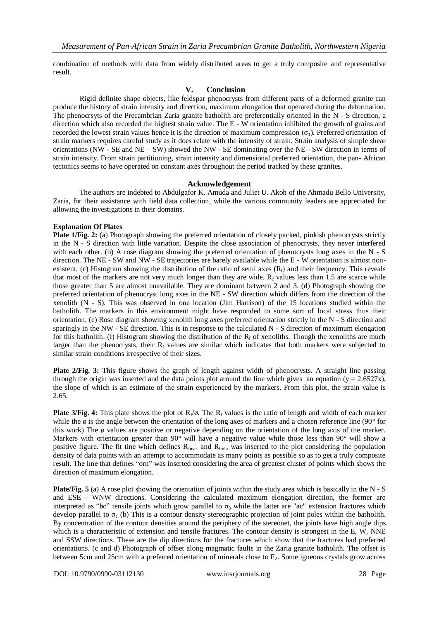combination of methods with data from widely distributed areas to get a truly composite and representative result.

#### **V. Conclusion**

Rigid definite shape objects, like feldspar phenocrysts from different parts of a deformed granite can produce the history of strain intensity and direction, maximum elongation that operated during the deformation. The phenocrsyts of the Precambrian Zaria granite batholith are preferentially oriented in the N - S direction, a direction which also recorded the highest strain value. The E - W orientation inhibited the growth of grains and recorded the lowest strain values hence it is the direction of maximum compression  $(\sigma_1)$ . Preferred orientation of strain markers requires careful study as it does relate with the intensity of strain. Strain analysis of simple shear orientations (NW - SE and NE – SW) showed the NW - SE dominating over the NE - SW direction in terms of strain intensity. From strain partitioning, strain intensity and dimensional preferred orientation, the pan- African tectonics seems to have operated on constant axes throughout the period tracked by these granites.

#### **Acknowledgement**

The authors are indebted to Abdulgafor K. Amuda and Juliet U. Akoh of the Ahmadu Bello University, Zaria, for their assistance with field data collection, while the various community leaders are appreciated for allowing the investigations in their domains.

#### **Explanation Of Plates**

**Plate** 1/Fig. 2: (a) Photograph showing the preferred orientation of closely packed, pinkish phenocrysts strictly in the N - S direction with little variation. Despite the close association of phenocrysts, they never interfered with each other. (b) A rose diagram showing the preferred orientation of phenocrysts long axes in the N - S direction. The NE - SW and NW - SE trajectories are barely available while the E - W orientation is almost nonexistent, (c) Histogram showing the distribution of the ratio of semi axes  $(R_f)$  and their frequency. This reveals that most of the markers are not very much longer than they are wide.  $R_f$  values less than 1.5 are scarce while those greater than 5 are almost unavailable. They are dominant between 2 and 3. (d) Photograph showing the preferred orientation of phenocryst long axes in the NE - SW direction which differs from the direction of the xenolith (N - S). This was observed in one location (Jim Harrison) of the 15 locations studied within the batholith. The markers in this environment might have responded to some sort of local stress thus their orientation, (e) Rose diagram showing xenolith long axes preferred orientation strictly in the N - S direction and sparingly in the NW - SE direction. This is in response to the calculated N - S direction of maximum elongation for this batholith. (I) Histogram showing the distribution of the  $R_f$  of xenoliths. Though the xenoliths are much larger than the phenocrysts, their  $R_f$  values are similar which indicates that both markers were subjected to similar strain conditions irrespective of their sizes.

**Plate 2/Fig. 3:** This figure shows the graph of length against width of phenocrysts. A straight line passing through the origin was inserted and the data points plot around the line which gives an equation ( $y = 2.6527x$ ), the slope of which is an estimate of the strain experienced by the markers. From this plot, the strain value is 2.65.

**Plate 3/Fig. 4:** This plate shows the plot of  $R_f/\emptyset$ . The  $R_f$  values is the ratio of length and width of each marker while the  $\phi$  is the angle between the orientation of the long axes of markers and a chosen reference line (90 $^{\circ}$  for this work) The ø values are positive or negative depending on the orientation of the long axis of the marker. Markers with orientation greater than 90° will have a negative value while those less than 90° will show a positive figure. The fit tine which defines  $R_{f_{\text{max}}}$  and  $R_{f_{\text{min}}}$  was inserted to the plot considering the population density of data points with an attempt to accommodate as many points as possible so as to get a truly composite result. The line that defines "orn" was inserted considering the area of greatest cluster of points which shows the direction of maximum elongation.

**Plate/Fig. 5** (a) A rose plot showing the orientation of joints within the study area which is basically in the N - S and ESE - WNW directions. Considering the calculated maximum elongation direction, the former are interpreted as "bc" tensile joints which grow parallel to  $\sigma_3$  while the latter are "ac" extension fractures which develop parallel to  $\sigma_1$  (b) This is a contour density stereographic projection of joint poles within the batholith. By concentration of the contour densities around the periphery of the stereonet, the joints have high angle dips which is a characteristic of extension and tensile fractures. The contour density is strongest in the E, W, NNE and SSW directions. These are the dip directions for the fractures which show that the fractures had preferred orientations. (c and d) Photograph of offset along magmatic faults in the Zaria granite batholith. The offset is between 5cm and 25cm with a preferred orientation of minerals close to  $F_2$ . Some igneous crystals grow across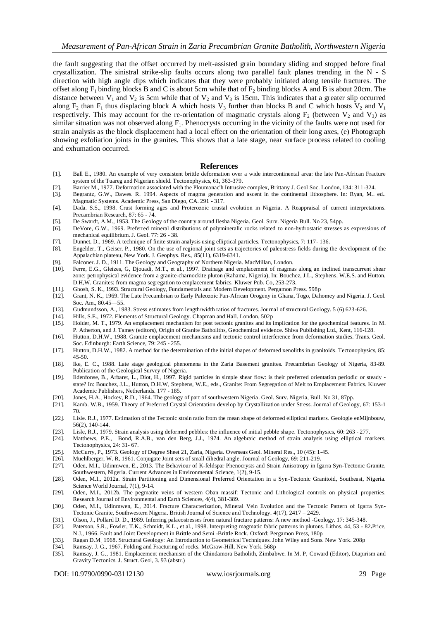the fault suggesting that the offset occurred by melt-assisted grain boundary sliding and stopped before final crystallization. The sinistral strike-slip faults occurs along two parallel fault planes trending in the N - S direction with high angle dips which indicates that they were probably initiated along tensile fractures. The offset along  $F_1$  binding blocks B and C is about 5cm while that of  $F_2$  binding blocks A and B is about 20cm. The distance between  $V_1$  and  $V_2$  is 5cm while that of  $V_2$  and  $V_3$  is 15cm. This indicates that a greater slip occurred along  $F_2$  than  $F_1$  thus displacing block A which hosts  $V_3$  further than blocks B and C which hosts  $V_2$  and  $V_1$ respectively. This may account for the re-orientation of magmatic crystals along  $F_2$  (between  $V_2$  and  $V_3$ ) as similar situation was not observed along  $F_1$ . Phenocrysts occurring in the vicinity of the faults were not used for strain analysis as the block displacement had a local effect on the orientation of their long axes, (e) Photograph showing exfoliation joints in the granites. This shows that a late stage, near surface process related to cooling and exhumation occurred.

#### **References**

- [1]. Ball E., 1980. An example of very consistent brittle deformation over a wide intercontinental area: the late Pan-African Fracture system of the Tuareg and Nigerian shield. Tectonophysics, 61, 363-379.
- [2]. Barrier M., 1977. Deformation associated with the Ploumanac'h Intrusive complex, Brittany J. Geol Soc. London, 134: 311-324.
- [3]. Begrantz, G.W., Dawes. R. 1994. Aspects of magma generation and ascent in the continental lithosphere. In: Ryan, M.. ed.. Magmatic Systems. Academic Press, San Diego, CA. 291 - 317.
- [4]. Dada. S.S., 1998. Crust forming ages and Proterozoic crustal evolution in Nigeria. A Reappraisal of current interpretations. Precambrian Research, 87: 65 - 74.
- [5]. De Swardt, A.M., 1953. The Geology of the country around Ilesha Nigeria. Geol. Surv. Nigeria Bull. No 23, 54pp.
- [6]. DeVore, G.W., 1969. Preferred mineral distributions of polymineralic rocks related to non-hydrostatic stresses as expressions of mechanical equilibrium. J. Geol. 77: 26 - 38.
- [7]. Dunnet, D., 1969. A technique of finite strain analysis using elliptical particles. Tectonophysics, 7: 117- 136.
- [8]. Engelder, T., Geiser, P., 1980. On the use of regional joint sets as trajectories of paleostress fields during the development of the Appalachian plateau, New York. J. Geophys. Res., 85(11), 6319-6341.
- [9]. Falconer. J. D., 1911. The Geology and Geography of Northern Nigeria. MacMillan, London.
- [10]. Ferre, E.G., Gleizes, G, Djouadi, M.T., et al., 1997. Drainage and emplacement of magmas along an inclined transcurrent shear zone: petrophysical evidence from a granite-charnockite pluton (Rahama, Nigeria), In: Bouchez, J.L., Stephens, W.E.S. and Hutton, D.H,W. Granites: from magma segregation to emplacement fabrics. Kluwer Pub. Co, 253-273.
- [11]. Ghosh, S. K., 1993. Structural Geology, Fundamentals and Modern Development. Pergamon Press. 598p
- [12]. Grant, N. K., 1969. The Late Precambrian to Early Paleozoic Pan-African Orogeny in Ghana, Togo, Dahomey and Nigeria. J. Geol. Soc. Am., 80.45—55.
- [13]. Gudmundsson, A., 1983. Stress estimates from length/width ratios of fractures. Journal of structural Geology. 5 (6) 623-626.
- [14]. Hills, S.E., 1972. Elements of Structural Geology. Chapman and Hall. London, 502p
- [15]. Holder, M. T., 1979. An emplacement mechanism for post tectonic granites and its implication for the geochemical features. In M. P. Atherton, and J. Tamey (editors), Origin of Granite Batholiths, Geochemical evidence. Shiva Publishing Ltd., Kent, 116-128.
- [16]. Hutton, D.H.W., 1988. Granite emplacement mechanisms and tectonic control interference from deformation studies. Trans. Geol. Soc. Edinburgh: Earth Science, 79: 245 - 255.
- [17]. Hutton, D.H.W., 1982. A method for the determination of the initial shapes of deformed xenoliths in granitoids. Tectonophysics, 85: 45-50.
- [18]. Ike, E. C., 1988. Late stage geological phenomena in the Zaria Basement granites. Precambrian Geology of Nigeria, 83-89. Publication of the Geological Survey of Nigeria.
- [19]. Ildenfonse, B., Arbaret, L., Diot, H., 1997. Rigid particles in simple shear flow: is their preferred orientation periodic or steady state? In: Bouchez, J.L., Hutton, D.H.W, Stephens, W.E., eds., Granite: From Segregation of Melt to Emplacement Fabrics. Kluwer Academic Publishers, Netherlands. 177 - 185.
- [20]. Jones, H.A., Hockey, R.D., 1964. The geology of part of southwestern Nigeria. Geol. Surv. Nigeria, Bull. No 31, 87pp.
- [21]. Kamb. W.B., 1959. Theory of Preferred Crystal Orientation develop by Crystallization under Stress. Journal of Geology, 67: 153-1 70.
- [22]. Lisle. R.J., 1977. Estimation of the Tectonic strain ratio from the mean shape of deformed elliptical markers. Geologie enMijnbouw, 56(2), 140-144.
- [23]. Lisle, R.J., 1979. Strain analysis using deformed pebbles: the influence of initial pebble shape. Tectonophysics, 60: 263 277.
- [24]. Matthews, P.E., Bond, R.A.B., van den Berg, J.J., 1974. An algebraic method of strain analysis using elliptical markers. Tectonophysics, 24: 31- 67.
- [25]. McCurry, P., 1973. Geology of Degree Sheet 21, Zaria, Nigeria. Overseas Geol. Mineral Res., 10 (45): 1-45.
- [26]. Muehlberger, W. R, 1961. Conjugate Joint sets of small dihedral angle. Journal of Geology, 69: 211-219.
- [27]. Oden, M.I., Udinmwen, E., 2013. The Behaviour of K-feldspar Phenocrysts and Strain Anisotropy in Igarra Syn-Tectonic Granite, Southwestern, Nigeria. Current Advances in Environmental Science, 1(2), 9-15.
- [28]. Oden, M.I., 2012a. Strain Partitioning and Dimensional Preferred Orientation in a Syn-Tectonic Granitoid, Southeast, Nigeria. Science World Journal, 7(1), 9-14.
- [29]. Oden, M.I., 2012b. The pegmatite veins of western Oban massif: Tectonic and Lithological controls on physical properties. Research Journal of Environmental and Earth Sciences, 4(4), 381-389.
- [30]. Oden, M.I., Udinmwen, E., 2014. Fracture Characterization, Mineral Vein Evolution and the Tectonic Pattern of Igarra Syn-Tectonic Granite, Southwestern Nigeria. British Journal of Science and Technology. 4(17), 2417 – 2429.
- [31]. Olson, J., Pollard D. D., 1989. Inferring palaeostresses from natural fracture patterns: A new method -Geology. 17: 345-348.
- [32]. Paterson, S.R., Fowler, T.K., Schmidt, K.L., et al., 1998. Interpreting magmatic fabric patterns in plutons. Lithos, 44, 53 82**.**Price, N J., 1966. Fault and Joint Development in Brittle and Semi -Brittle Rock. Oxford: Pergamon Press, 180p
- [33]. Ragan D.M., 1968. Structural Geology: An Introduction to Geometrical Techniques. John Wiley and Sons. New York. 208p
- [34]. Ramsay. J. G., 1967. Folding and Fracturing of rocks. McGraw-Hill, New York. 568p
- [35]. Ramsay, J. G., 1981. Emplacement mechanism of the Chindamora Batholith, Zimbabwe. In M. P, Coward (Editor), Diapirism and Gravity Tectonics. J. Struct. Geol, 3. 93 (abstr.)